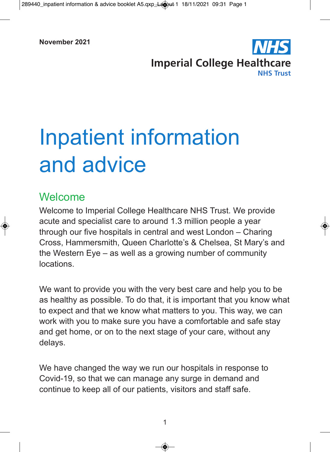

# Inpatient information and advice

# Welcome

Welcome to Imperial College Healthcare NHS Trust. We provide acute and specialist care to around 1.3 million people a year through our five hospitals in central and west London – Charing Cross, Hammersmith, Queen Charlotte's & Chelsea, St Mary's and the Western Eye – as well as a growing number of community locations.

We want to provide you with the very best care and help you to be as healthy as possible. To do that, it is important that you know what to expect and that we know what matters to you. This way, we can work with you to make sure you have a comfortable and safe stay and get home, or on to the next stage of your care, without any delays.

We have changed the way we run our hospitals in response to Covid-19, so that we can manage any surge in demand and continue to keep all of our patients, visitors and staff safe.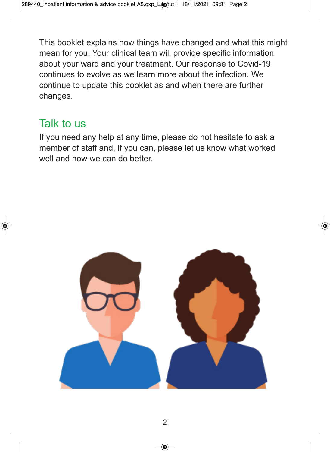This booklet explains how things have changed and what this might mean for you. Your clinical team will provide specific information about your ward and your treatment. Our response to Covid-19 continues to evolve as we learn more about the infection. We continue to update this booklet as and when there are further changes.

# Talk to us

If you need any help at any time, please do not hesitate to ask a member of staff and, if you can, please let us know what worked well and how we can do better.

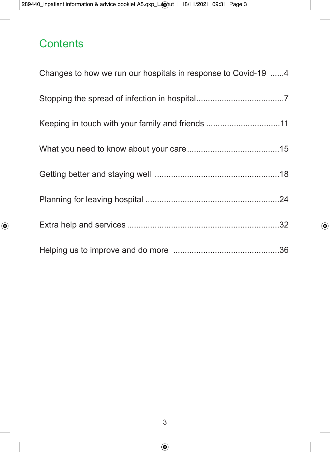# **Contents**

| Changes to how we run our hospitals in response to Covid-19 4 |  |
|---------------------------------------------------------------|--|
|                                                               |  |
| Keeping in touch with your family and friends 11              |  |
|                                                               |  |
|                                                               |  |
|                                                               |  |
|                                                               |  |
|                                                               |  |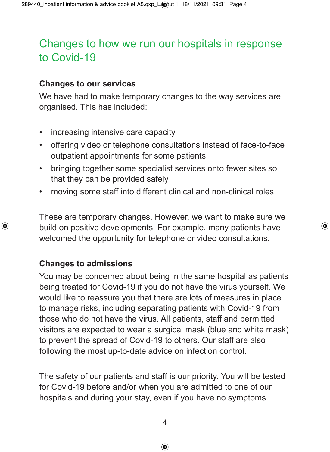# Changes to how we run our hospitals in response to Covid-19

#### **Changes to our services**

We have had to make temporary changes to the way services are organised. This has included:

- increasing intensive care capacity
- offering video or telephone consultations instead of face-to-face outpatient appointments for some patients
- bringing together some specialist services onto fewer sites so that they can be provided safely
- moving some staff into different clinical and non-clinical roles

These are temporary changes. However, we want to make sure we build on positive developments. For example, many patients have welcomed the opportunity for telephone or video consultations.

# **Changes to admissions**

You may be concerned about being in the same hospital as patients being treated for Covid-19 if you do not have the virus yourself. We would like to reassure you that there are lots of measures in place to manage risks, including separating patients with Covid-19 from those who do not have the virus. All patients, staff and permitted visitors are expected to wear a surgical mask (blue and white mask) to prevent the spread of Covid-19 to others. Our staff are also following the most up-to-date advice on infection control.

The safety of our patients and staff is our priority. You will be tested for Covid-19 before and/or when you are admitted to one of our hospitals and during your stay, even if you have no symptoms.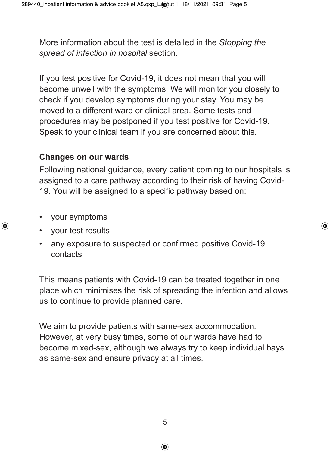More information about the test is detailed in the *Stopping the spread of infection in hospital* section.

If you test positive for Covid-19, it does not mean that you will become unwell with the symptoms. We will monitor you closely to check if you develop symptoms during your stay. You may be moved to a different ward or clinical area. Some tests and procedures may be postponed if you test positive for Covid-19. Speak to your clinical team if you are concerned about this.

#### **Changes on our wards**

Following national guidance, every patient coming to our hospitals is assigned to a care pathway according to their risk of having Covid-19. You will be assigned to a specific pathway based on:

- your symptoms
- your test results
- any exposure to suspected or confirmed positive Covid-19 contacts

This means patients with Covid-19 can be treated together in one place which minimises the risk of spreading the infection and allows us to continue to provide planned care.

We aim to provide patients with same-sex accommodation. However, at very busy times, some of our wards have had to become mixed-sex, although we always try to keep individual bays as same-sex and ensure privacy at all times.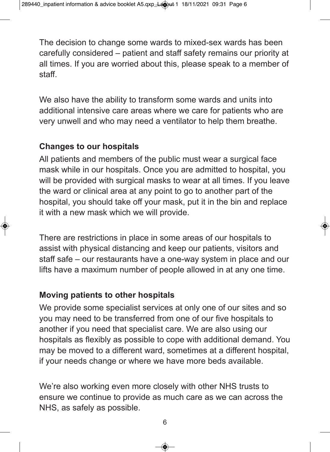The decision to change some wards to mixed-sex wards has been carefully considered – patient and staff safety remains our priority at all times. If you are worried about this, please speak to a member of staff.

We also have the ability to transform some wards and units into additional intensive care areas where we care for patients who are very unwell and who may need a ventilator to help them breathe.

# **Changes to our hospitals**

All patients and members of the public must wear a surgical face mask while in our hospitals. Once you are admitted to hospital, you will be provided with surgical masks to wear at all times. If you leave the ward or clinical area at any point to go to another part of the hospital, you should take off your mask, put it in the bin and replace it with a new mask which we will provide.

There are restrictions in place in some areas of our hospitals to assist with physical distancing and keep our patients, visitors and staff safe – our restaurants have a one-way system in place and our lifts have a maximum number of people allowed in at any one time.

# **Moving patients to other hospitals**

We provide some specialist services at only one of our sites and so you may need to be transferred from one of our five hospitals to another if you need that specialist care. We are also using our hospitals as flexibly as possible to cope with additional demand. You may be moved to a different ward, sometimes at a different hospital, if your needs change or where we have more beds available.

We're also working even more closely with other NHS trusts to ensure we continue to provide as much care as we can across the NHS, as safely as possible.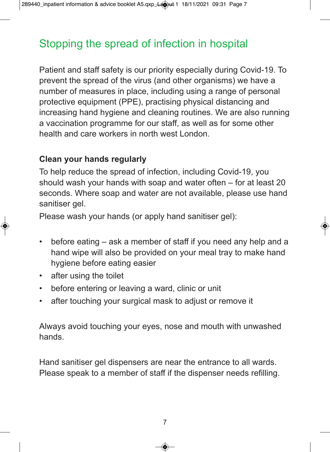# Stopping the spread of infection in hospital

Patient and staff safety is our priority especially during Covid-19. To prevent the spread of the virus (and other organisms) we have a number of measures in place, including using a range of personal protective equipment (PPE), practising physical distancing and increasing hand hygiene and cleaning routines. We are also running a vaccination programme for our staff, as well as for some other health and care workers in north west London.

# **Clean your hands regularly**

To help reduce the spread of infection, including Covid-19, you should wash your hands with soap and water often – for at least 20 seconds. Where soap and water are not available, please use hand sanitiser gel.

Please wash your hands (or apply hand sanitiser gel):

- before eating ask a member of staff if you need any help and a hand wipe will also be provided on your meal tray to make hand hygiene before eating easier
- after using the toilet
- before entering or leaving a ward, clinic or unit
- after touching your surgical mask to adjust or remove it

Always avoid touching your eyes, nose and mouth with unwashed hands.

Hand sanitiser gel dispensers are near the entrance to all wards. Please speak to a member of staff if the dispenser needs refilling.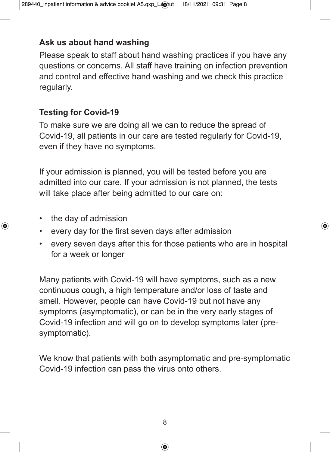# **Ask us about hand washing**

Please speak to staff about hand washing practices if you have any questions or concerns. All staff have training on infection prevention and control and effective hand washing and we check this practice regularly.

# **Testing for Covid-19**

To make sure we are doing all we can to reduce the spread of Covid-19, all patients in our care are tested regularly for Covid-19, even if they have no symptoms.

If your admission is planned, you will be tested before you are admitted into our care. If your admission is not planned, the tests will take place after being admitted to our care on:

- the day of admission
- every day for the first seven days after admission
- every seven days after this for those patients who are in hospital for a week or longer

Many patients with Covid-19 will have symptoms, such as a new continuous cough, a high temperature and/or loss of taste and smell. However, people can have Covid-19 but not have any symptoms (asymptomatic), or can be in the very early stages of Covid-19 infection and will go on to develop symptoms later (presymptomatic).

We know that patients with both asymptomatic and pre-symptomatic Covid-19 infection can pass the virus onto others.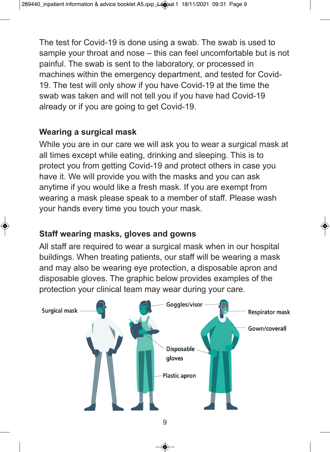The test for Covid-19 is done using a swab. The swab is used to sample your throat and nose – this can feel uncomfortable but is not painful. The swab is sent to the laboratory, or processed in machines within the emergency department, and tested for Covid-19. The test will only show if you have Covid-19 at the time the swab was taken and will not tell you if you have had Covid-19 already or if you are going to get Covid-19.

# **Wearing a surgical mask**

While you are in our care we will ask you to wear a surgical mask at all times except while eating, drinking and sleeping. This is to protect you from getting Covid-19 and protect others in case you have it. We will provide you with the masks and you can ask anytime if you would like a fresh mask. If you are exempt from wearing a mask please speak to a member of staff. Please wash your hands every time you touch your mask.

# **Staff wearing masks, gloves and gowns**

All staff are required to wear a surgical mask when in our hospital buildings. When treating patients, our staff will be wearing a mask and may also be wearing eye protection, a disposable apron and disposable gloves. The graphic below provides examples of the protection your clinical team may wear during your care.

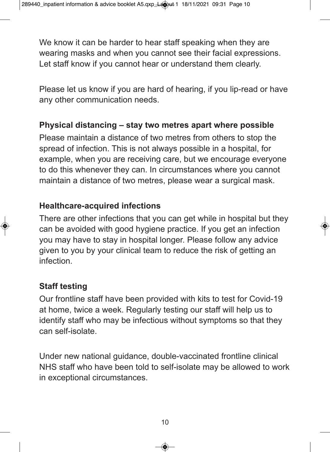We know it can be harder to hear staff speaking when they are wearing masks and when you cannot see their facial expressions. Let staff know if you cannot hear or understand them clearly.

Please let us know if you are hard of hearing, if you lip-read or have any other communication needs.

#### **Physical distancing – stay two metres apart where possible**

Please maintain a distance of two metres from others to stop the spread of infection. This is not always possible in a hospital, for example, when you are receiving care, but we encourage everyone to do this whenever they can. In circumstances where you cannot maintain a distance of two metres, please wear a surgical mask.

#### **Healthcare-acquired infections**

There are other infections that you can get while in hospital but they can be avoided with good hygiene practice. If you get an infection you may have to stay in hospital longer. Please follow any advice given to you by your clinical team to reduce the risk of getting an infection.

# **Staff testing**

Our frontline staff have been provided with kits to test for Covid-19 at home, twice a week. Regularly testing our staff will help us to identify staff who may be infectious without symptoms so that they can self-isolate.

Under new national guidance, double-vaccinated frontline clinical NHS staff who have been told to self-isolate may be allowed to work in exceptional circumstances.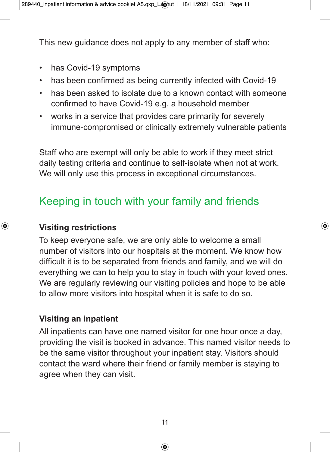This new guidance does not apply to any member of staff who:

- has Covid-19 symptoms
- has been confirmed as being currently infected with Covid-19
- has been asked to isolate due to a known contact with someone confirmed to have Covid-19 e.g. a household member
- works in a service that provides care primarily for severely immune-compromised or clinically extremely vulnerable patients

Staff who are exempt will only be able to work if they meet strict daily testing criteria and continue to self-isolate when not at work. We will only use this process in exceptional circumstances.

# Keeping in touch with your family and friends

# **Visiting restrictions**

To keep everyone safe, we are only able to welcome a small number of visitors into our hospitals at the moment. We know how difficult it is to be separated from friends and family, and we will do everything we can to help you to stay in touch with your loved ones. We are regularly reviewing our visiting policies and hope to be able to allow more visitors into hospital when it is safe to do so.

# **Visiting an inpatient**

All inpatients can have one named visitor for one hour once a day, providing the visit is booked in advance. This named visitor needs to be the same visitor throughout your inpatient stay. Visitors should contact the ward where their friend or family member is staying to agree when they can visit.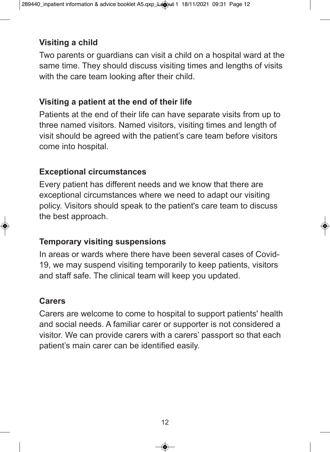# **Visiting a child**

Two parents or guardians can visit a child on a hospital ward at the same time. They should discuss visiting times and lengths of visits with the care team looking after their child.

# **Visiting a patient at the end of their life**

Patients at the end of their life can have separate visits from up to three named visitors. Named visitors, visiting times and length of visit should be agreed with the patient's care team before visitors come into hospital.

# **Exceptional circumstances**

Every patient has different needs and we know that there are exceptional circumstances where we need to adapt our visiting policy. Visitors should speak to the patient's care team to discuss the best approach.

# **Temporary visiting suspensions**

In areas or wards where there have been several cases of Covid-19, we may suspend visiting temporarily to keep patients, visitors and staff safe. The clinical team will keep you updated.

# **Carers**

Carers are welcome to come to hospital to support patients' health and social needs. A familiar carer or supporter is not considered a visitor. We can provide carers with a carers' passport so that each patient's main carer can be identified easily.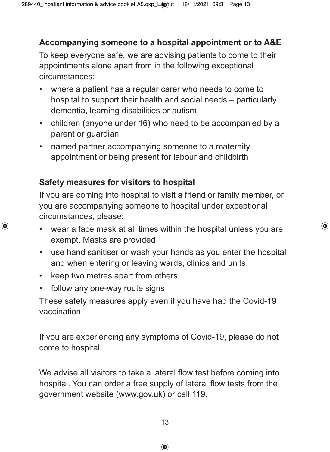# **Accompanying someone to a hospital appointment or to A&E**

To keep everyone safe, we are advising patients to come to their appointments alone apart from in the following exceptional circumstances:

- where a patient has a regular carer who needs to come to hospital to support their health and social needs – particularly dementia, learning disabilities or autism
- children (anyone under 16) who need to be accompanied by a parent or guardian
- named partner accompanying someone to a maternity appointment or being present for labour and childbirth

# **Safety measures for visitors to hospital**

If you are coming into hospital to visit a friend or family member, or you are accompanying someone to hospital under exceptional circumstances, please:

- wear a face mask at all times within the hospital unless you are exempt. Masks are provided
- use hand sanitiser or wash your hands as you enter the hospital and when entering or leaving wards, clinics and units
- keep two metres apart from others
- follow any one-way route signs

These safety measures apply even if you have had the Covid-19 vaccination.

If you are experiencing any symptoms of Covid-19, please do not come to hospital.

We advise all visitors to take a lateral flow test before coming into hospital. You can order a free supply of lateral flow tests from the government website (www.gov.uk) or call 119.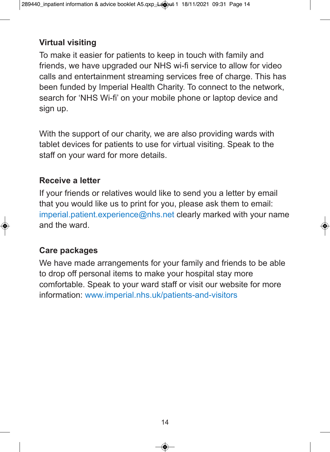# **Virtual visiting**

To make it easier for patients to keep in touch with family and friends, we have upgraded our NHS wi-fi service to allow for video calls and entertainment streaming services free of charge. This has been funded by Imperial Health Charity. To connect to the network, search for 'NHS Wi-fi' on your mobile phone or laptop device and sign up.

With the support of our charity, we are also providing wards with tablet devices for patients to use for virtual visiting. Speak to the staff on your ward for more details.

#### **Receive a letter**

If your friends or relatives would like to send you a letter by email that you would like us to print for you, please ask them to email: imperial.patient.experience@nhs.net clearly marked with your name and the ward.

# **Care packages**

We have made arrangements for your family and friends to be able to drop off personal items to make your hospital stay more comfortable. Speak to your ward staff or visit our website for more information: www.imperial.nhs.uk/patients-and-visitors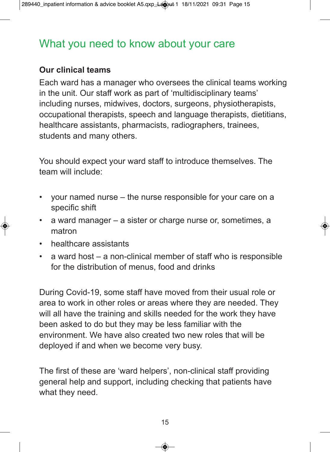# What you need to know about your care

#### **Our clinical teams**

Each ward has a manager who oversees the clinical teams working in the unit. Our staff work as part of 'multidisciplinary teams' including nurses, midwives, doctors, surgeons, physiotherapists, occupational therapists, speech and language therapists, dietitians, healthcare assistants, pharmacists, radiographers, trainees, students and many others.

You should expect your ward staff to introduce themselves. The team will include:

- your named nurse the nurse responsible for your care on a specific shift
- a ward manager a sister or charge nurse or, sometimes, a matron
- healthcare assistants
- a ward host a non-clinical member of staff who is responsible for the distribution of menus, food and drinks

During Covid-19, some staff have moved from their usual role or area to work in other roles or areas where they are needed. They will all have the training and skills needed for the work they have been asked to do but they may be less familiar with the environment. We have also created two new roles that will be deployed if and when we become very busy.

The first of these are 'ward helpers', non-clinical staff providing general help and support, including checking that patients have what they need.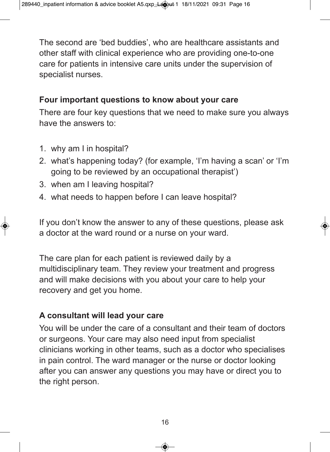The second are 'bed buddies', who are healthcare assistants and other staff with clinical experience who are providing one-to-one care for patients in intensive care units under the supervision of specialist nurses.

# **Four important questions to know about your care**

There are four key questions that we need to make sure you always have the answers to:

- 1. why am I in hospital?
- 2. what's happening today? (for example, 'I'm having a scan' or 'I'm going to be reviewed by an occupational therapist')
- 3. when am I leaving hospital?
- 4. what needs to happen before I can leave hospital?

If you don't know the answer to any of these questions, please ask a doctor at the ward round or a nurse on your ward.

The care plan for each patient is reviewed daily by a multidisciplinary team. They review your treatment and progress and will make decisions with you about your care to help your recovery and get you home.

#### **A consultant will lead your care**

You will be under the care of a consultant and their team of doctors or surgeons. Your care may also need input from specialist clinicians working in other teams, such as a doctor who specialises in pain control. The ward manager or the nurse or doctor looking after you can answer any questions you may have or direct you to the right person.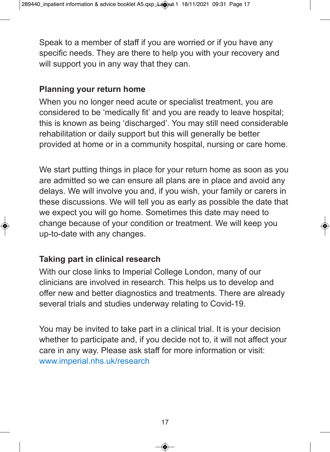Speak to a member of staff if you are worried or if you have any specific needs. They are there to help you with your recovery and will support you in any way that they can.

# **Planning your return home**

When you no longer need acute or specialist treatment, you are considered to be 'medically fit' and you are ready to leave hospital; this is known as being 'discharged'. You may still need considerable rehabilitation or daily support but this will generally be better provided at home or in a community hospital, nursing or care home.

We start putting things in place for your return home as soon as you are admitted so we can ensure all plans are in place and avoid any delays. We will involve you and, if you wish, your family or carers in these discussions. We will tell you as early as possible the date that we expect you will go home. Sometimes this date may need to change because of your condition or treatment. We will keep you up-to-date with any changes.

# **Taking part in clinical research**

With our close links to Imperial College London, many of our clinicians are involved in research. This helps us to develop and offer new and better diagnostics and treatments. There are already several trials and studies underway relating to Covid-19.

You may be invited to take part in a clinical trial. It is your decision whether to participate and, if you decide not to, it will not affect your care in any way. Please ask staff for more information or visit: www.imperial.nhs.uk/research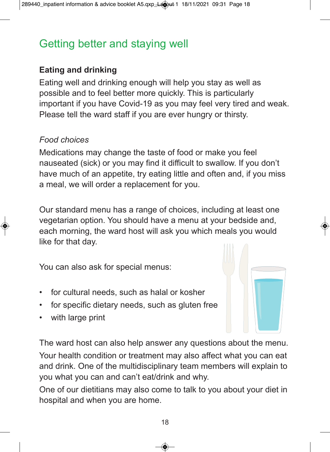# Getting better and staying well

# **Eating and drinking**

Eating well and drinking enough will help you stay as well as possible and to feel better more quickly. This is particularly important if you have Covid-19 as you may feel very tired and weak. Please tell the ward staff if you are ever hungry or thirsty.

# *Food choices*

Medications may change the taste of food or make you feel nauseated (sick) or you may find it difficult to swallow. If you don't have much of an appetite, try eating little and often and, if you miss a meal, we will order a replacement for you.

Our standard menu has a range of choices, including at least one vegetarian option. You should have a menu at your bedside and, each morning, the ward host will ask you which meals you would like for that day.

You can also ask for special menus:

- for cultural needs, such as halal or kosher
- for specific dietary needs, such as gluten free
- with large print



The ward host can also help answer any questions about the menu. Your health condition or treatment may also affect what you can eat and drink. One of the multidisciplinary team members will explain to you what you can and can't eat/drink and why.

One of our dietitians may also come to talk to you about your diet in hospital and when you are home.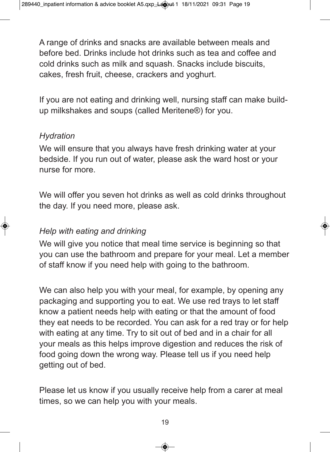A range of drinks and snacks are available between meals and before bed. Drinks include hot drinks such as tea and coffee and cold drinks such as milk and squash. Snacks include biscuits, cakes, fresh fruit, cheese, crackers and yoghurt.

If you are not eating and drinking well, nursing staff can make buildup milkshakes and soups (called Meritene®) for you.

#### *Hydration*

We will ensure that you always have fresh drinking water at your bedside. If you run out of water, please ask the ward host or your nurse for more.

We will offer you seven hot drinks as well as cold drinks throughout the day. If you need more, please ask.

# *Help with eating and drinking*

We will give you notice that meal time service is beginning so that you can use the bathroom and prepare for your meal. Let a member of staff know if you need help with going to the bathroom.

We can also help you with your meal, for example, by opening any packaging and supporting you to eat. We use red trays to let staff know a patient needs help with eating or that the amount of food they eat needs to be recorded. You can ask for a red tray or for help with eating at any time. Try to sit out of bed and in a chair for all your meals as this helps improve digestion and reduces the risk of food going down the wrong way. Please tell us if you need help getting out of bed.

Please let us know if you usually receive help from a carer at meal times, so we can help you with your meals.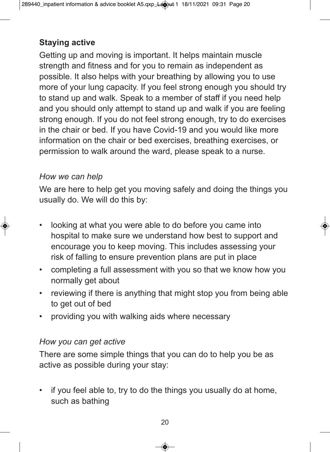# **Staying active**

Getting up and moving is important. It helps maintain muscle strength and fitness and for you to remain as independent as possible. It also helps with your breathing by allowing you to use more of your lung capacity. If you feel strong enough you should try to stand up and walk. Speak to a member of staff if you need help and you should only attempt to stand up and walk if you are feeling strong enough. If you do not feel strong enough, try to do exercises in the chair or bed. If you have Covid-19 and you would like more information on the chair or bed exercises, breathing exercises, or permission to walk around the ward, please speak to a nurse.

#### *How we can help*

We are here to help get you moving safely and doing the things you usually do. We will do this by:

- looking at what you were able to do before you came into hospital to make sure we understand how best to support and encourage you to keep moving. This includes assessing your risk of falling to ensure prevention plans are put in place
- completing a full assessment with you so that we know how you normally get about
- reviewing if there is anything that might stop you from being able to get out of bed
- providing you with walking aids where necessary

#### *How you can get active*

There are some simple things that you can do to help you be as active as possible during your stay:

• if you feel able to, try to do the things you usually do at home, such as bathing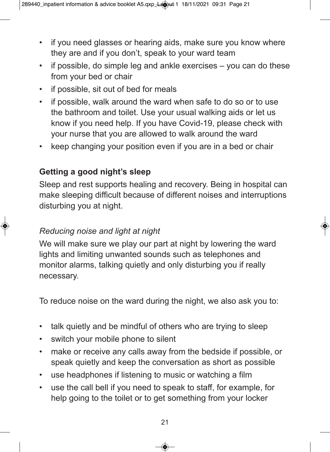- if you need glasses or hearing aids, make sure you know where they are and if you don't, speak to your ward team
- if possible, do simple leg and ankle exercises you can do these from your bed or chair
- if possible, sit out of bed for meals
- if possible, walk around the ward when safe to do so or to use the bathroom and toilet. Use your usual walking aids or let us know if you need help. If you have Covid-19, please check with your nurse that you are allowed to walk around the ward
- keep changing your position even if you are in a bed or chair

# **Getting a good night's sleep**

Sleep and rest supports healing and recovery. Being in hospital can make sleeping difficult because of different noises and interruptions disturbing you at night.

#### *Reducing noise and light at night*

We will make sure we play our part at night by lowering the ward lights and limiting unwanted sounds such as telephones and monitor alarms, talking quietly and only disturbing you if really necessary.

To reduce noise on the ward during the night, we also ask you to:

- talk quietly and be mindful of others who are trying to sleep
- switch your mobile phone to silent
- make or receive any calls away from the bedside if possible, or speak quietly and keep the conversation as short as possible
- use headphones if listening to music or watching a film
- use the call bell if you need to speak to staff, for example, for help going to the toilet or to get something from your locker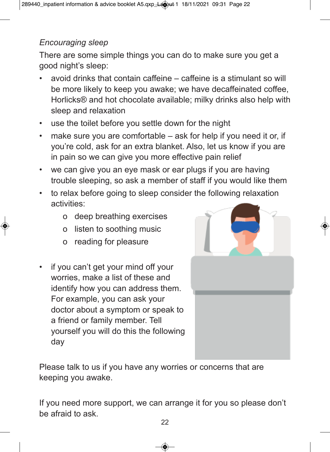# *Encouraging sleep*

There are some simple things you can do to make sure you get a good night's sleep:

- avoid drinks that contain caffeine caffeine is a stimulant so will be more likely to keep you awake; we have decaffeinated coffee, Horlicks® and hot chocolate available; milky drinks also help with sleep and relaxation
- use the toilet before you settle down for the night
- make sure you are comfortable ask for help if you need it or, if you're cold, ask for an extra blanket. Also, let us know if you are in pain so we can give you more effective pain relief
- we can give you an eye mask or ear plugs if you are having trouble sleeping, so ask a member of staff if you would like them
- to relax before going to sleep consider the following relaxation activities:
	- o deep breathing exercises
	- o listen to soothing music
	- o reading for pleasure
- if you can't get your mind off your worries, make a list of these and identify how you can address them. For example, you can ask your doctor about a symptom or speak to a friend or family member. Tell yourself you will do this the following day



Please talk to us if you have any worries or concerns that are keeping you awake.

If you need more support, we can arrange it for you so please don't be afraid to ask.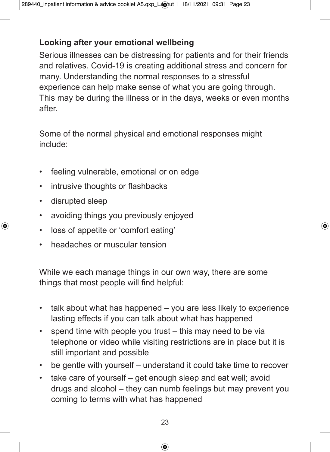# **Looking after your emotional wellbeing**

Serious illnesses can be distressing for patients and for their friends and relatives. Covid-19 is creating additional stress and concern for many. Understanding the normal responses to a stressful experience can help make sense of what you are going through. This may be during the illness or in the days, weeks or even months after.

Some of the normal physical and emotional responses might include:

- feeling vulnerable, emotional or on edge
- intrusive thoughts or flashbacks
- disrupted sleep
- avoiding things you previously enjoyed
- loss of appetite or 'comfort eating'
- headaches or muscular tension

While we each manage things in our own way, there are some things that most people will find helpful:

- talk about what has happened you are less likely to experience lasting effects if you can talk about what has happened
- spend time with people you trust this may need to be via telephone or video while visiting restrictions are in place but it is still important and possible
- be gentle with yourself understand it could take time to recover
- take care of yourself get enough sleep and eat well; avoid drugs and alcohol – they can numb feelings but may prevent you coming to terms with what has happened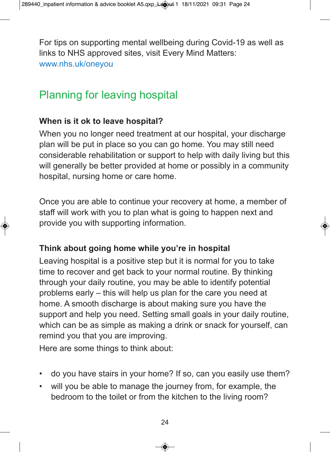For tips on supporting mental wellbeing during Covid-19 as well as links to NHS approved sites, visit Every Mind Matters: www.nhs.uk/oneyou

# Planning for leaving hospital

# **When is it ok to leave hospital?**

When you no longer need treatment at our hospital, your discharge plan will be put in place so you can go home. You may still need considerable rehabilitation or support to help with daily living but this will generally be better provided at home or possibly in a community hospital, nursing home or care home.

Once you are able to continue your recovery at home, a member of staff will work with you to plan what is going to happen next and provide you with supporting information.

# **Think about going home while you're in hospital**

Leaving hospital is a positive step but it is normal for you to take time to recover and get back to your normal routine. By thinking through your daily routine, you may be able to identify potential problems early – this will help us plan for the care you need at home. A smooth discharge is about making sure you have the support and help you need. Setting small goals in your daily routine, which can be as simple as making a drink or snack for yourself, can remind you that you are improving.

Here are some things to think about:

- do you have stairs in your home? If so, can you easily use them?
- will you be able to manage the journey from, for example, the bedroom to the toilet or from the kitchen to the living room?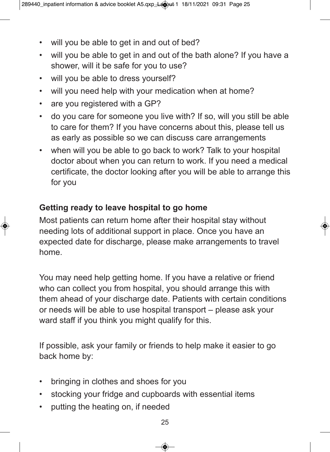- will you be able to get in and out of bed?
- will you be able to get in and out of the bath alone? If you have a shower, will it be safe for you to use?
- will you be able to dress yourself?
- will you need help with your medication when at home?
- are you registered with a GP?
- do you care for someone you live with? If so, will you still be able to care for them? If you have concerns about this, please tell us as early as possible so we can discuss care arrangements
- when will you be able to go back to work? Talk to your hospital doctor about when you can return to work. If you need a medical certificate, the doctor looking after you will be able to arrange this for you

# **Getting ready to leave hospital to go home**

Most patients can return home after their hospital stay without needing lots of additional support in place. Once you have an expected date for discharge, please make arrangements to travel home.

You may need help getting home. If you have a relative or friend who can collect you from hospital, you should arrange this with them ahead of your discharge date. Patients with certain conditions or needs will be able to use hospital transport – please ask your ward staff if you think you might qualify for this.

If possible, ask your family or friends to help make it easier to go back home by:

- bringing in clothes and shoes for you
- stocking your fridge and cupboards with essential items
- putting the heating on, if needed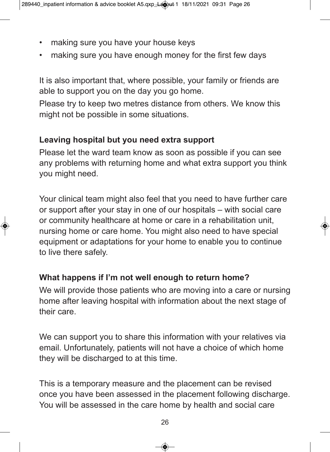- making sure you have your house keys
- making sure you have enough money for the first few days

It is also important that, where possible, your family or friends are able to support you on the day you go home.

Please try to keep two metres distance from others. We know this might not be possible in some situations.

# **Leaving hospital but you need extra support**

Please let the ward team know as soon as possible if you can see any problems with returning home and what extra support you think you might need.

Your clinical team might also feel that you need to have further care or support after your stay in one of our hospitals – with social care or community healthcare at home or care in a rehabilitation unit, nursing home or care home. You might also need to have special equipment or adaptations for your home to enable you to continue to live there safely.

# **What happens if I'm not well enough to return home?**

We will provide those patients who are moving into a care or nursing home after leaving hospital with information about the next stage of their care.

We can support you to share this information with your relatives via email. Unfortunately, patients will not have a choice of which home they will be discharged to at this time.

This is a temporary measure and the placement can be revised once you have been assessed in the placement following discharge. You will be assessed in the care home by health and social care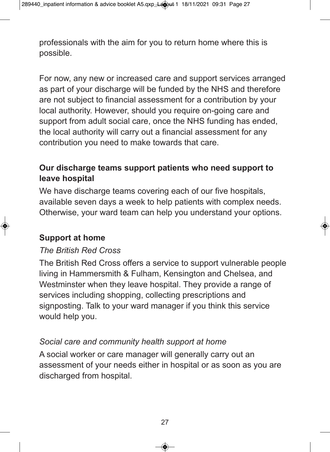professionals with the aim for you to return home where this is possible.

For now, any new or increased care and support services arranged as part of your discharge will be funded by the NHS and therefore are not subject to financial assessment for a contribution by your local authority. However, should you require on-going care and support from adult social care, once the NHS funding has ended, the local authority will carry out a financial assessment for any contribution you need to make towards that care.

# **Our discharge teams support patients who need support to leave hospital**

We have discharge teams covering each of our five hospitals. available seven days a week to help patients with complex needs. Otherwise, your ward team can help you understand your options.

# **Support at home**

# *The British Red Cross*

The British Red Cross offers a service to support vulnerable people living in Hammersmith & Fulham, Kensington and Chelsea, and Westminster when they leave hospital. They provide a range of services including shopping, collecting prescriptions and signposting. Talk to your ward manager if you think this service would help you.

# *Social care and community health support at home*

A social worker or care manager will generally carry out an assessment of your needs either in hospital or as soon as you are discharged from hospital.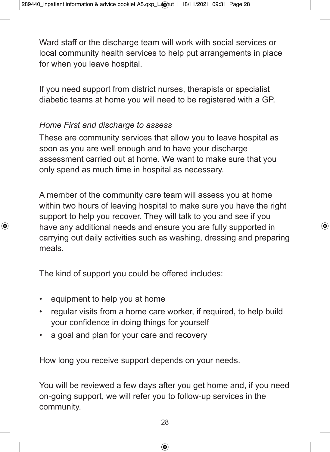Ward staff or the discharge team will work with social services or local community health services to help put arrangements in place for when you leave hospital.

If you need support from district nurses, therapists or specialist diabetic teams at home you will need to be registered with a GP.

# *Home First and discharge to assess*

These are community services that allow you to leave hospital as soon as you are well enough and to have your discharge assessment carried out at home. We want to make sure that you only spend as much time in hospital as necessary.

A member of the community care team will assess you at home within two hours of leaving hospital to make sure you have the right support to help you recover. They will talk to you and see if you have any additional needs and ensure you are fully supported in carrying out daily activities such as washing, dressing and preparing meals.

The kind of support you could be offered includes:

- equipment to help you at home
- regular visits from a home care worker, if required, to help build your confidence in doing things for yourself
- a goal and plan for your care and recovery

How long you receive support depends on your needs.

You will be reviewed a few days after you get home and, if you need on-going support, we will refer you to follow-up services in the community.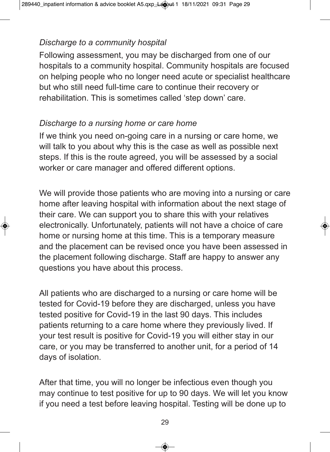# *Discharge to a community hospital*

Following assessment, you may be discharged from one of our hospitals to a community hospital. Community hospitals are focused on helping people who no longer need acute or specialist healthcare but who still need full-time care to continue their recovery or rehabilitation. This is sometimes called 'step down' care.

#### *Discharge to a nursing home or care home*

If we think you need on-going care in a nursing or care home, we will talk to you about why this is the case as well as possible next steps. If this is the route agreed, you will be assessed by a social worker or care manager and offered different options.

We will provide those patients who are moving into a nursing or care home after leaving hospital with information about the next stage of their care. We can support you to share this with your relatives electronically. Unfortunately, patients will not have a choice of care home or nursing home at this time. This is a temporary measure and the placement can be revised once you have been assessed in the placement following discharge. Staff are happy to answer any questions you have about this process.

All patients who are discharged to a nursing or care home will be tested for Covid-19 before they are discharged, unless you have tested positive for Covid-19 in the last 90 days. This includes patients returning to a care home where they previously lived. If your test result is positive for Covid-19 you will either stay in our care, or you may be transferred to another unit, for a period of 14 days of isolation.

After that time, you will no longer be infectious even though you may continue to test positive for up to 90 days. We will let you know if you need a test before leaving hospital. Testing will be done up to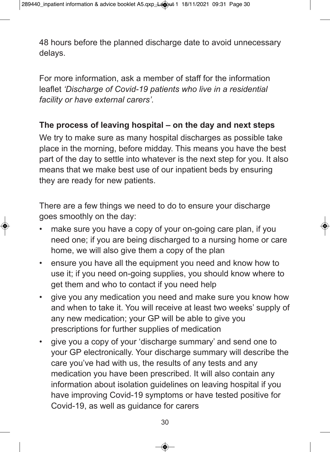48 hours before the planned discharge date to avoid unnecessary delays.

For more information, ask a member of staff for the information leaflet *'Discharge of Covid-19 patients who live in a residential facility or have external carers'.* 

# **The process of leaving hospital – on the day and next steps**

We try to make sure as many hospital discharges as possible take place in the morning, before midday. This means you have the best part of the day to settle into whatever is the next step for you. It also means that we make best use of our inpatient beds by ensuring they are ready for new patients.

There are a few things we need to do to ensure your discharge goes smoothly on the day:

- make sure you have a copy of your on-going care plan, if you need one; if you are being discharged to a nursing home or care home, we will also give them a copy of the plan
- ensure you have all the equipment you need and know how to use it; if you need on-going supplies, you should know where to get them and who to contact if you need help
- give you any medication you need and make sure you know how and when to take it. You will receive at least two weeks' supply of any new medication; your GP will be able to give you prescriptions for further supplies of medication
- give you a copy of your 'discharge summary' and send one to your GP electronically. Your discharge summary will describe the care you've had with us, the results of any tests and any medication you have been prescribed. It will also contain any information about isolation guidelines on leaving hospital if you have improving Covid-19 symptoms or have tested positive for Covid-19, as well as guidance for carers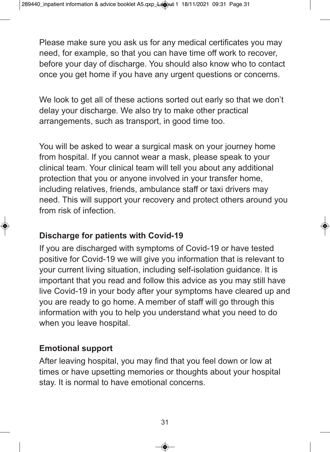Please make sure you ask us for any medical certificates you may need, for example, so that you can have time off work to recover, before your day of discharge. You should also know who to contact once you get home if you have any urgent questions or concerns.

We look to get all of these actions sorted out early so that we don't delay your discharge. We also try to make other practical arrangements, such as transport, in good time too.

You will be asked to wear a surgical mask on your journey home from hospital. If you cannot wear a mask, please speak to your clinical team. Your clinical team will tell you about any additional protection that you or anyone involved in your transfer home, including relatives, friends, ambulance staff or taxi drivers may need. This will support your recovery and protect others around you from risk of infection.

# **Discharge for patients with Covid-19**

If you are discharged with symptoms of Covid-19 or have tested positive for Covid-19 we will give you information that is relevant to your current living situation, including self-isolation guidance. It is important that you read and follow this advice as you may still have live Covid-19 in your body after your symptoms have cleared up and you are ready to go home. A member of staff will go through this information with you to help you understand what you need to do when you leave hospital.

# **Emotional support**

After leaving hospital, you may find that you feel down or low at times or have upsetting memories or thoughts about your hospital stay. It is normal to have emotional concerns.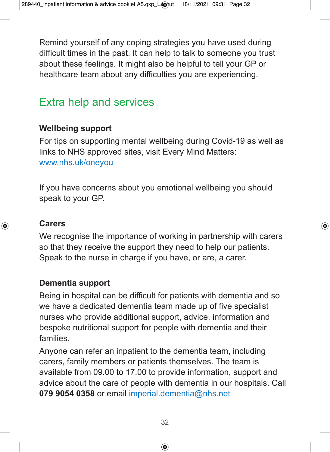Remind yourself of any coping strategies you have used during difficult times in the past. It can help to talk to someone you trust about these feelings. It might also be helpful to tell your GP or healthcare team about any difficulties you are experiencing.

# Extra help and services

# **Wellbeing support**

For tips on supporting mental wellbeing during Covid-19 as well as links to NHS approved sites, visit Every Mind Matters: www.nhs.uk/oneyou

If you have concerns about you emotional wellbeing you should speak to your GP.

# **Carers**

We recognise the importance of working in partnership with carers so that they receive the support they need to help our patients. Speak to the nurse in charge if you have, or are, a carer.

# **Dementia support**

Being in hospital can be difficult for patients with dementia and so we have a dedicated dementia team made up of five specialist nurses who provide additional support, advice, information and bespoke nutritional support for people with dementia and their families.

Anyone can refer an inpatient to the dementia team, including carers, family members or patients themselves. The team is available from 09.00 to 17.00 to provide information, support and advice about the care of people with dementia in our hospitals. Call **079 9054 0358** or email imperial.dementia@nhs.net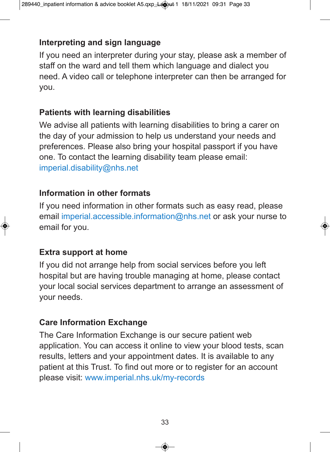# **Interpreting and sign language**

If you need an interpreter during your stay, please ask a member of staff on the ward and tell them which language and dialect you need. A video call or telephone interpreter can then be arranged for you.

# **Patients with learning disabilities**

We advise all patients with learning disabilities to bring a carer on the day of your admission to help us understand your needs and preferences. Please also bring your hospital passport if you have one. To contact the learning disability team please email: imperial.disability@nhs.net

#### **Information in other formats**

If you need information in other formats such as easy read, please email imperial.accessible.information@nhs.net or ask your nurse to email for you.

# **Extra support at home**

If you did not arrange help from social services before you left hospital but are having trouble managing at home, please contact your local social services department to arrange an assessment of your needs.

# **Care Information Exchange**

The Care Information Exchange is our secure patient web application. You can access it online to view your blood tests, scan results, letters and your appointment dates. It is available to any patient at this Trust. To find out more or to register for an account please visit: www.imperial.nhs.uk/my-records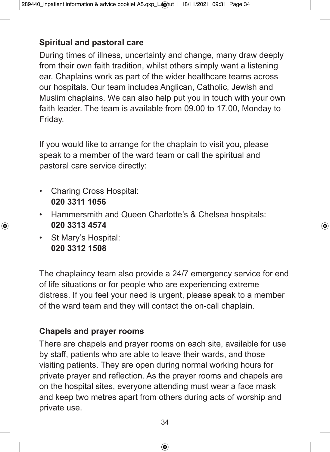# **Spiritual and pastoral care**

During times of illness, uncertainty and change, many draw deeply from their own faith tradition, whilst others simply want a listening ear. Chaplains work as part of the wider healthcare teams across our hospitals. Our team includes Anglican, Catholic, Jewish and Muslim chaplains. We can also help put you in touch with your own faith leader. The team is available from 09.00 to 17.00, Monday to Friday.

If you would like to arrange for the chaplain to visit you, please speak to a member of the ward team or call the spiritual and pastoral care service directly:

- Charing Cross Hospital: **020 3311 1056**
- Hammersmith and Queen Charlotte's & Chelsea hospitals: **020 3313 4574**
- St Mary's Hospital: **020 3312 1508**

The chaplaincy team also provide a 24/7 emergency service for end of life situations or for people who are experiencing extreme distress. If you feel your need is urgent, please speak to a member of the ward team and they will contact the on-call chaplain.

# **Chapels and prayer rooms**

There are chapels and prayer rooms on each site, available for use by staff, patients who are able to leave their wards, and those visiting patients. They are open during normal working hours for private prayer and reflection. As the prayer rooms and chapels are on the hospital sites, everyone attending must wear a face mask and keep two metres apart from others during acts of worship and private use.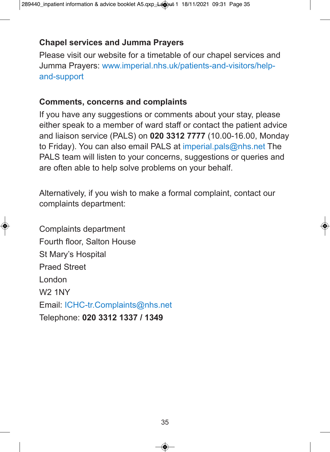# **Chapel services and Jumma Prayers**

Please visit our website for a timetable of our chapel services and Jumma Prayers: www.imperial.nhs.uk/patients-and-visitors/helpand-support

#### **Comments, concerns and complaints**

If you have any suggestions or comments about your stay, please either speak to a member of ward staff or contact the patient advice and liaison service (PALS) on **020 3312 7777** (10.00-16.00, Monday to Friday). You can also email PALS at imperial.pals@nhs.net The PALS team will listen to your concerns, suggestions or queries and are often able to help solve problems on your behalf.

Alternatively, if you wish to make a formal complaint, contact our complaints department:

Complaints department Fourth floor, Salton House St Mary's Hospital Praed Street London W2 1NY Email: ICHC-tr.Complaints@nhs.net Telephone: **020 3312 1337 / 1349**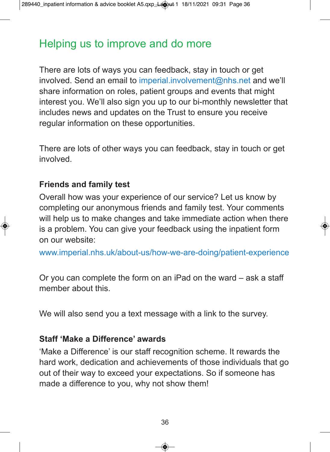# Helping us to improve and do more

There are lots of ways you can feedback, stay in touch or get involved. Send an email to imperial.involvement@nhs.net and we'll share information on roles, patient groups and events that might interest you. We'll also sign you up to our bi-monthly newsletter that includes news and updates on the Trust to ensure you receive regular information on these opportunities.

There are lots of other ways you can feedback, stay in touch or get involved.

#### **Friends and family test**

Overall how was your experience of our service? Let us know by completing our anonymous friends and family test. Your comments will help us to make changes and take immediate action when there is a problem. You can give your feedback using the inpatient form on our website:

www.imperial.nhs.uk/about-us/how-we-are-doing/patient-experience

Or you can complete the form on an iPad on the ward – ask a staff member about this.

We will also send you a text message with a link to the survey.

#### **Staff 'Make a Difference' awards**

'Make a Difference' is our staff recognition scheme. It rewards the hard work, dedication and achievements of those individuals that go out of their way to exceed your expectations. So if someone has made a difference to you, why not show them!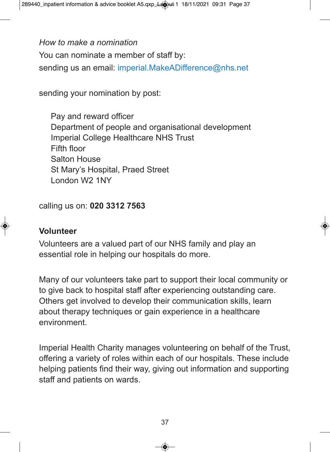*How to make a nomination* You can nominate a member of staff by: sending us an email: imperial.MakeADifference@nhs.net

sending your nomination by post:

Pay and reward officer Department of people and organisational development Imperial College Healthcare NHS Trust Fifth floor Salton House St Mary's Hospital, Praed Street London W2 1NY

calling us on: **020 3312 7563**

#### **Volunteer**

Volunteers are a valued part of our NHS family and play an essential role in helping our hospitals do more.

Many of our volunteers take part to support their local community or to give back to hospital staff after experiencing outstanding care. Others get involved to develop their communication skills, learn about therapy techniques or gain experience in a healthcare environment.

Imperial Health Charity manages volunteering on behalf of the Trust, offering a variety of roles within each of our hospitals. These include helping patients find their way, giving out information and supporting staff and patients on wards.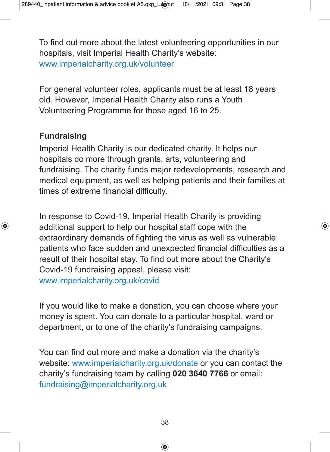To find out more about the latest volunteering opportunities in our hospitals, visit Imperial Health Charity's website: www.imperialcharity.org.uk/volunteer

For general volunteer roles, applicants must be at least 18 years old. However, Imperial Health Charity also runs a Youth Volunteering Programme for those aged 16 to 25.

#### **Fundraising**

Imperial Health Charity is our dedicated charity. It helps our hospitals do more through grants, arts, volunteering and fundraising. The charity funds major redevelopments, research and medical equipment, as well as helping patients and their families at times of extreme financial difficulty.

In response to Covid-19, Imperial Health Charity is providing additional support to help our hospital staff cope with the extraordinary demands of fighting the virus as well as vulnerable patients who face sudden and unexpected financial difficulties as a result of their hospital stay. To find out more about the Charity's Covid-19 fundraising appeal, please visit: www.imperialcharity.org.uk/covid

If you would like to make a donation, you can choose where your money is spent. You can donate to a particular hospital, ward or department, or to one of the charity's fundraising campaigns.

You can find out more and make a donation via the charity's website: www.imperialcharity.org.uk/donate or you can contact the charity's fundraising team by calling **020 3640 7766** or email: fundraising@imperialcharity.org.uk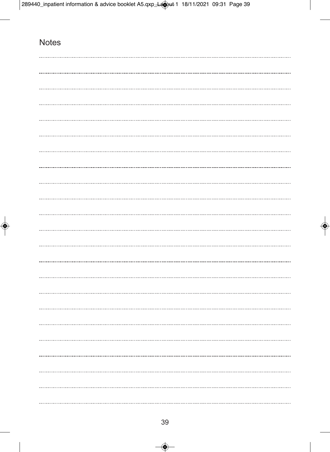# **Notes**